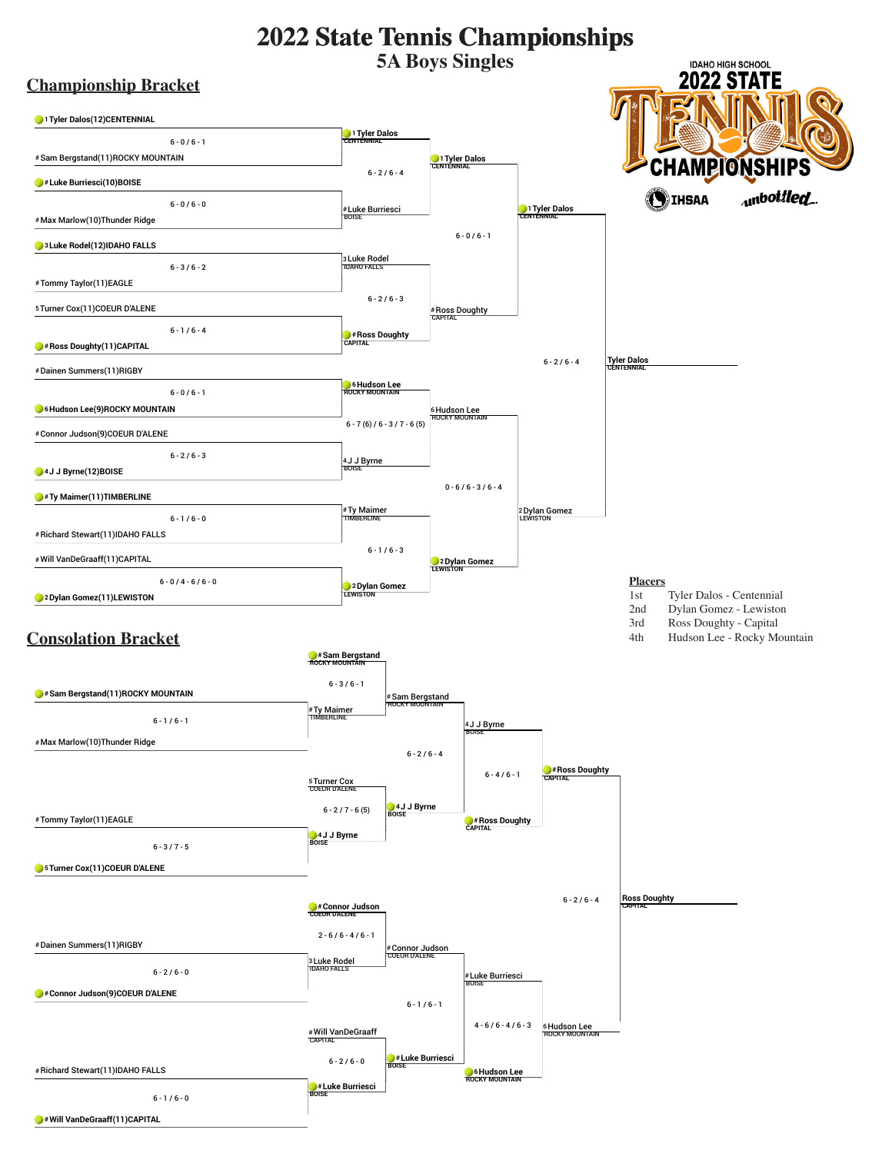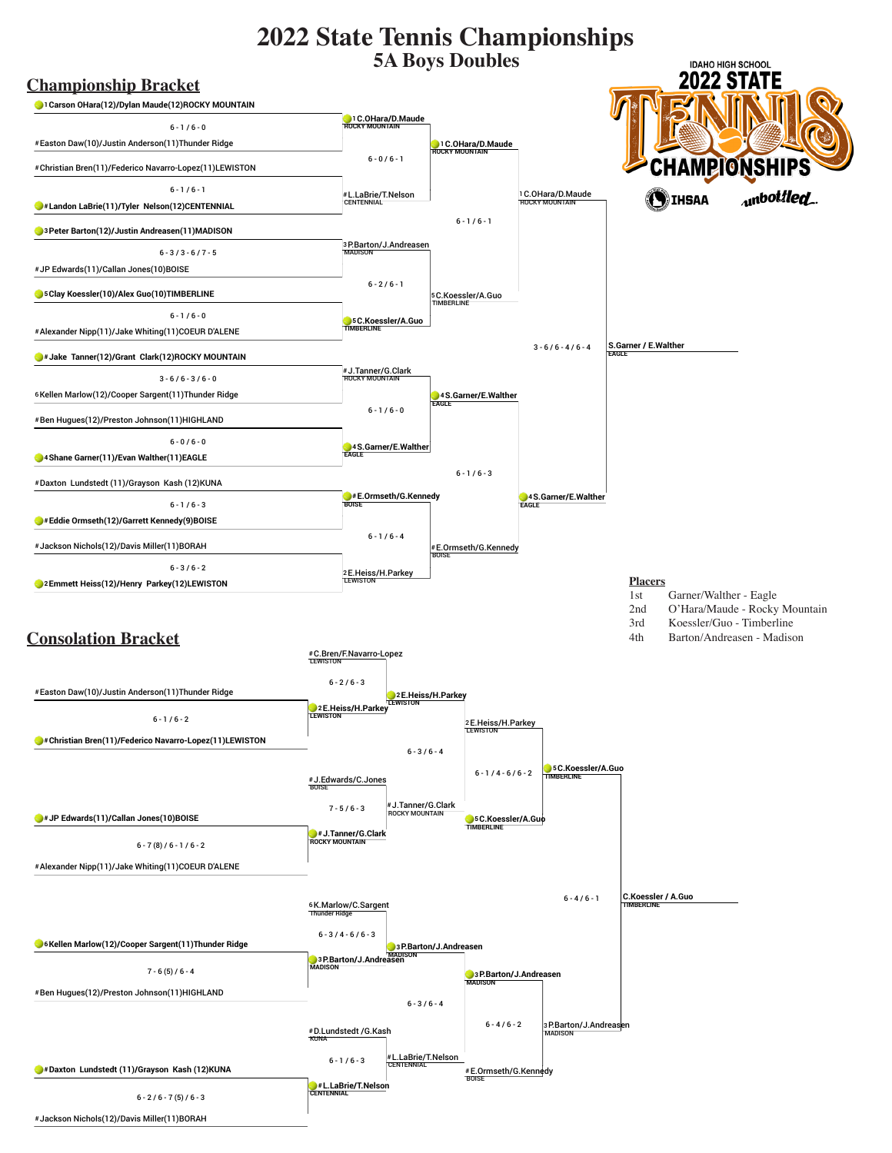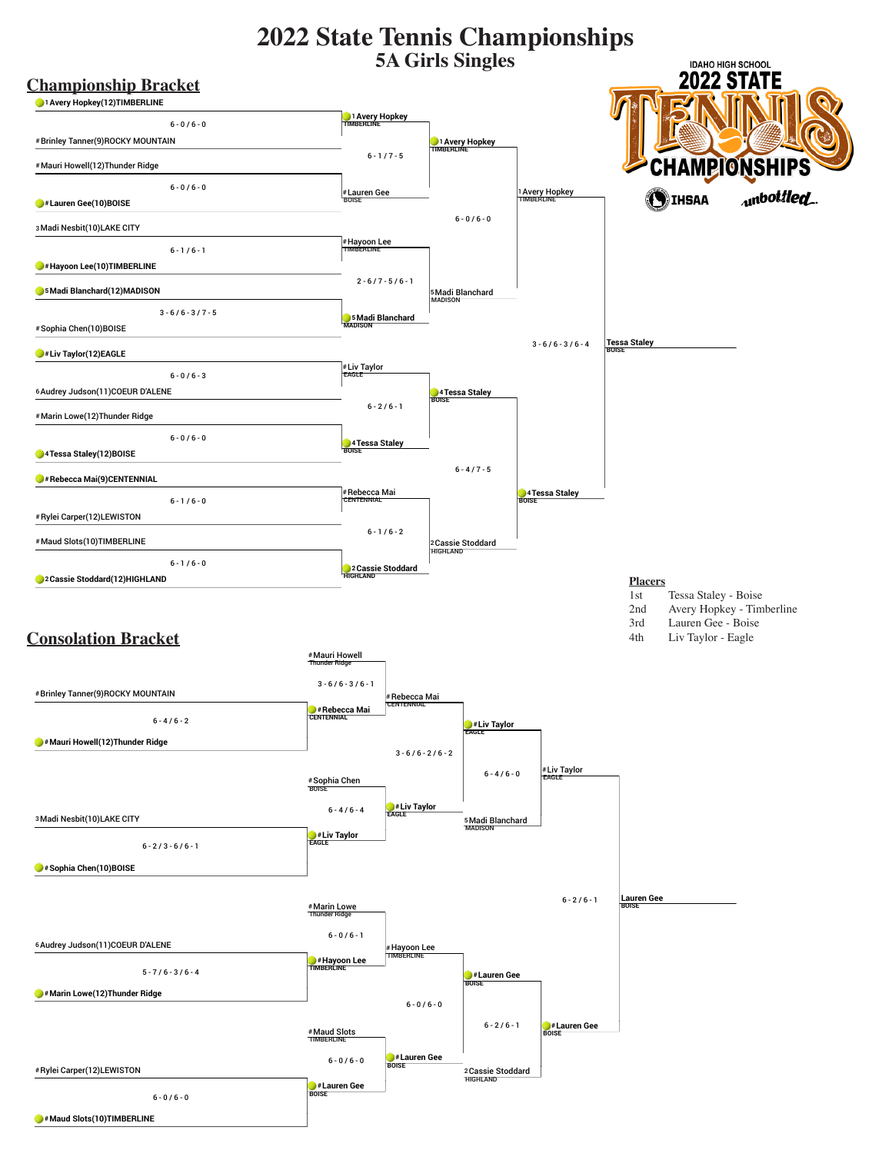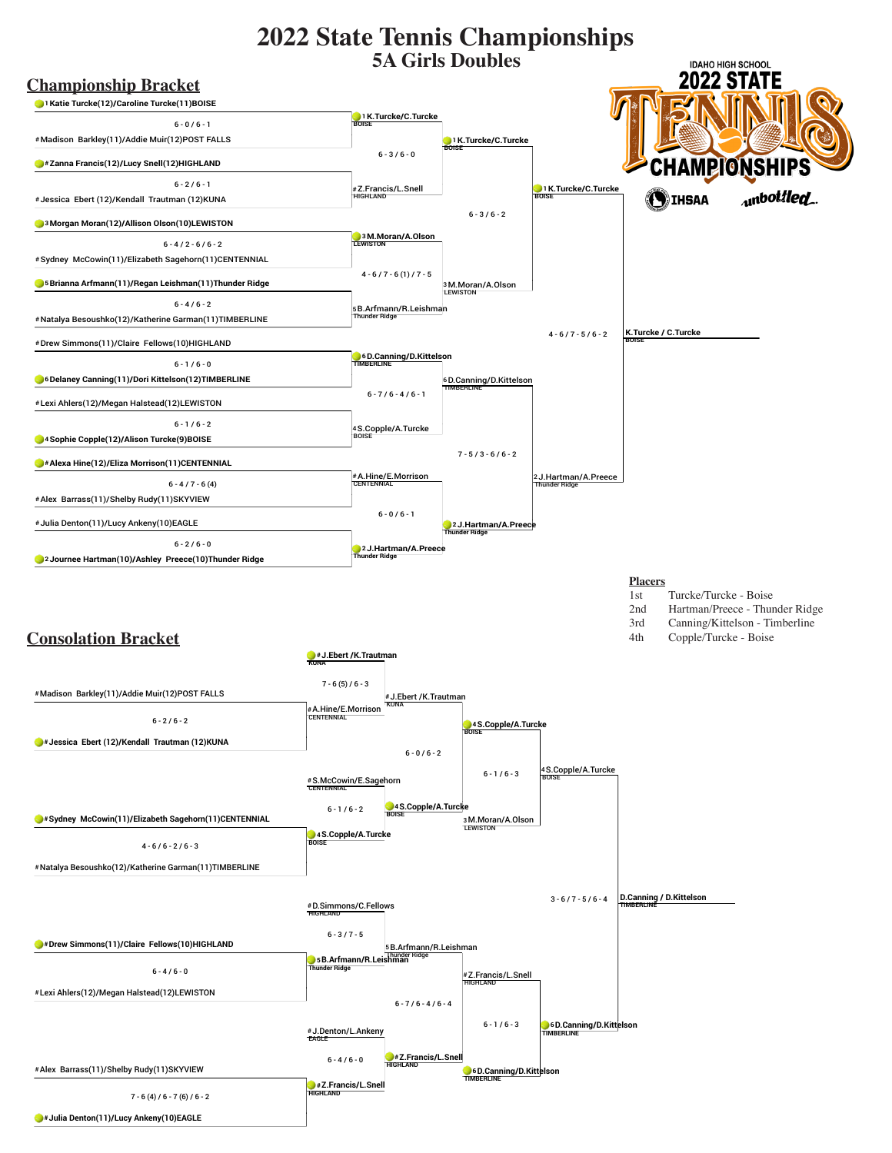

**#Julia Denton(11)/Lucy Ankeny(10)EAGLE**